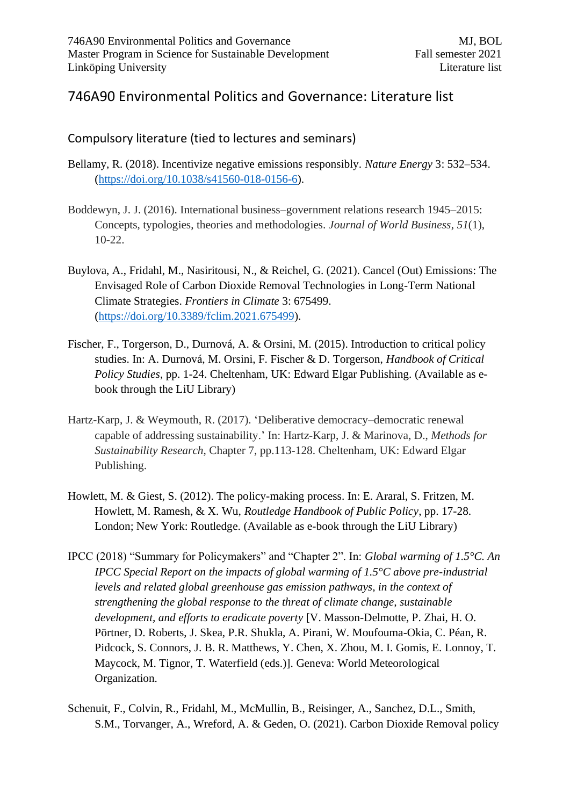## 746A90 Environmental Politics and Governance: Literature list

## Compulsory literature (tied to lectures and seminars)

- Bellamy, R. (2018). Incentivize negative emissions responsibly. *Nature Energy* 3: 532–534. [\(https://doi.org/10.1038/s41560-018-0156-6\)](https://doi.org/10.1038/s41560-018-0156-6).
- Boddewyn, J. J. (2016). International business–government relations research 1945–2015: Concepts, typologies, theories and methodologies. *Journal of World Business*, *51*(1), 10-22.
- Buylova, A., Fridahl, M., Nasiritousi, N., & Reichel, G. (2021). Cancel (Out) Emissions: The Envisaged Role of Carbon Dioxide Removal Technologies in Long-Term National Climate Strategies. *Frontiers in Climate* 3: 675499. [\(https://doi.org/10.3389/fclim.2021.675499\)](https://doi.org/10.3389/fclim.2021.675499).
- Fischer, F., Torgerson, D., Durnová, A. & Orsini, M. (2015). Introduction to critical policy studies. In: A. Durnová, M. Orsini, F. Fischer & D. Torgerson, *Handbook of Critical Policy Studies*, pp. 1-24. Cheltenham, UK: Edward Elgar Publishing. (Available as ebook through the LiU Library)
- Hartz-Karp, J. & Weymouth, R. (2017). 'Deliberative democracy–democratic renewal capable of addressing sustainability.' In: Hartz-Karp, J. & Marinova, D., *Methods for Sustainability Research*, Chapter 7, pp.113-128. Cheltenham, UK: Edward Elgar Publishing.
- Howlett, M. & Giest, S. (2012). The policy-making process. In: E. Araral, S. Fritzen, M. Howlett, M. Ramesh, & X. Wu, *Routledge Handbook of Public Policy*, pp. 17-28. London; New York: Routledge. (Available as e-book through the LiU Library)
- IPCC (2018) "Summary for Policymakers" and "Chapter 2". In: *Global warming of 1.5°C. An IPCC Special Report on the impacts of global warming of 1.5°C above pre-industrial levels and related global greenhouse gas emission pathways, in the context of strengthening the global response to the threat of climate change, sustainable development, and efforts to eradicate poverty* [V. Masson-Delmotte, P. Zhai, H. O. Pörtner, D. Roberts, J. Skea, P.R. Shukla, A. Pirani, W. Moufouma-Okia, C. Péan, R. Pidcock, S. Connors, J. B. R. Matthews, Y. Chen, X. Zhou, M. I. Gomis, E. Lonnoy, T. Maycock, M. Tignor, T. Waterfield (eds.)]. Geneva: World Meteorological Organization.
- Schenuit, F., Colvin, R., Fridahl, M., McMullin, B., Reisinger, A., Sanchez, D.L., Smith, S.M., Torvanger, A., Wreford, A. & Geden, O. (2021). Carbon Dioxide Removal policy